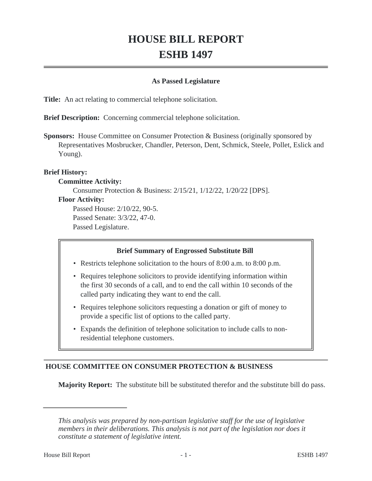# **HOUSE BILL REPORT ESHB 1497**

#### **As Passed Legislature**

**Title:** An act relating to commercial telephone solicitation.

**Brief Description:** Concerning commercial telephone solicitation.

**Sponsors:** House Committee on Consumer Protection & Business (originally sponsored by Representatives Mosbrucker, Chandler, Peterson, Dent, Schmick, Steele, Pollet, Eslick and Young).

## **Brief History:**

## **Committee Activity:**

Consumer Protection & Business: 2/15/21, 1/12/22, 1/20/22 [DPS].

#### **Floor Activity:**

Passed House: 2/10/22, 90-5. Passed Senate: 3/3/22, 47-0. Passed Legislature.

## **Brief Summary of Engrossed Substitute Bill**

- Restricts telephone solicitation to the hours of 8:00 a.m. to 8:00 p.m.
- Requires telephone solicitors to provide identifying information within the first 30 seconds of a call, and to end the call within 10 seconds of the called party indicating they want to end the call.
- Requires telephone solicitors requesting a donation or gift of money to provide a specific list of options to the called party.
- Expands the definition of telephone solicitation to include calls to non-• residential telephone customers.

## **HOUSE COMMITTEE ON CONSUMER PROTECTION & BUSINESS**

**Majority Report:** The substitute bill be substituted therefor and the substitute bill do pass.

*This analysis was prepared by non-partisan legislative staff for the use of legislative members in their deliberations. This analysis is not part of the legislation nor does it constitute a statement of legislative intent.*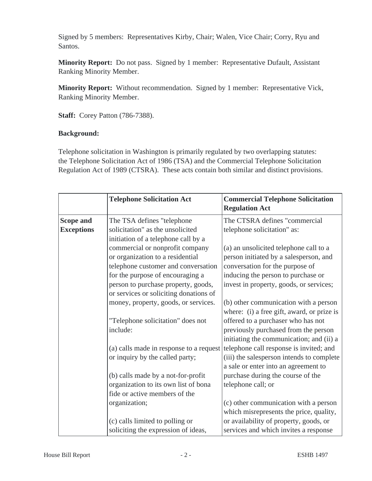Signed by 5 members: Representatives Kirby, Chair; Walen, Vice Chair; Corry, Ryu and Santos.

**Minority Report:** Do not pass. Signed by 1 member: Representative Dufault, Assistant Ranking Minority Member.

**Minority Report:** Without recommendation. Signed by 1 member: Representative Vick, Ranking Minority Member.

**Staff:** Corey Patton (786-7388).

## **Background:**

Telephone solicitation in Washington is primarily regulated by two overlapping statutes: the Telephone Solicitation Act of 1986 (TSA) and the Commercial Telephone Solicitation Regulation Act of 1989 (CTSRA). These acts contain both similar and distinct provisions.

|                   | <b>Telephone Solicitation Act</b>       | <b>Commercial Telephone Solicitation</b><br><b>Regulation Act</b> |
|-------------------|-----------------------------------------|-------------------------------------------------------------------|
| <b>Scope and</b>  | The TSA defines "telephone              | The CTSRA defines "commercial                                     |
| <b>Exceptions</b> | solicitation" as the unsolicited        | telephone solicitation" as:                                       |
|                   | initiation of a telephone call by a     |                                                                   |
|                   | commercial or nonprofit company         | (a) an unsolicited telephone call to a                            |
|                   | or organization to a residential        | person initiated by a salesperson, and                            |
|                   | telephone customer and conversation     | conversation for the purpose of                                   |
|                   | for the purpose of encouraging a        | inducing the person to purchase or                                |
|                   | person to purchase property, goods,     | invest in property, goods, or services;                           |
|                   | or services or soliciting donations of  |                                                                   |
|                   | money, property, goods, or services.    | (b) other communication with a person                             |
|                   |                                         | where: (i) a free gift, award, or prize is                        |
|                   | "Telephone solicitation" does not       | offered to a purchaser who has not                                |
|                   | include:                                | previously purchased from the person                              |
|                   |                                         | initiating the communication; and (ii) a                          |
|                   | (a) calls made in response to a request | telephone call response is invited; and                           |
|                   | or inquiry by the called party;         | (iii) the salesperson intends to complete                         |
|                   |                                         | a sale or enter into an agreement to                              |
|                   | (b) calls made by a not-for-profit      | purchase during the course of the                                 |
|                   | organization to its own list of bona    | telephone call; or                                                |
|                   | fide or active members of the           |                                                                   |
|                   | organization;                           | (c) other communication with a person                             |
|                   |                                         | which misrepresents the price, quality,                           |
|                   | (c) calls limited to polling or         | or availability of property, goods, or                            |
|                   | soliciting the expression of ideas,     | services and which invites a response                             |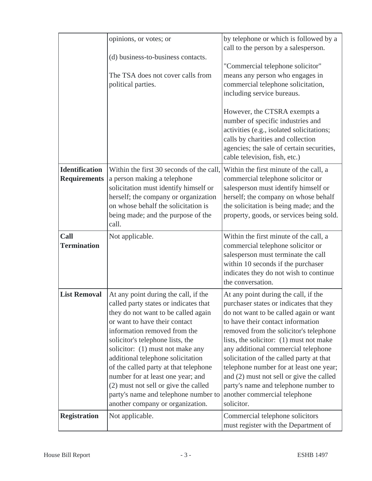|                                              | opinions, or votes; or                                                                                                                                                                                                                                                                                                                                                       | by telephone or which is followed by a<br>call to the person by a salesperson.                                                                                                                                                                                                                                                                                                         |
|----------------------------------------------|------------------------------------------------------------------------------------------------------------------------------------------------------------------------------------------------------------------------------------------------------------------------------------------------------------------------------------------------------------------------------|----------------------------------------------------------------------------------------------------------------------------------------------------------------------------------------------------------------------------------------------------------------------------------------------------------------------------------------------------------------------------------------|
|                                              | (d) business-to-business contacts.<br>The TSA does not cover calls from                                                                                                                                                                                                                                                                                                      | "Commercial telephone solicitor"<br>means any person who engages in                                                                                                                                                                                                                                                                                                                    |
|                                              | political parties.                                                                                                                                                                                                                                                                                                                                                           | commercial telephone solicitation,<br>including service bureaus.                                                                                                                                                                                                                                                                                                                       |
|                                              |                                                                                                                                                                                                                                                                                                                                                                              | However, the CTSRA exempts a<br>number of specific industries and<br>activities (e.g., isolated solicitations;<br>calls by charities and collection<br>agencies; the sale of certain securities,<br>cable television, fish, etc.)                                                                                                                                                      |
| <b>Identification</b><br><b>Requirements</b> | Within the first 30 seconds of the call,<br>a person making a telephone<br>solicitation must identify himself or<br>herself; the company or organization<br>on whose behalf the solicitation is<br>being made; and the purpose of the<br>call.                                                                                                                               | Within the first minute of the call, a<br>commercial telephone solicitor or<br>salesperson must identify himself or<br>herself; the company on whose behalf<br>the solicitation is being made; and the<br>property, goods, or services being sold.                                                                                                                                     |
| Call<br><b>Termination</b>                   | Not applicable.                                                                                                                                                                                                                                                                                                                                                              | Within the first minute of the call, a<br>commercial telephone solicitor or<br>salesperson must terminate the call<br>within 10 seconds if the purchaser<br>indicates they do not wish to continue<br>the conversation.                                                                                                                                                                |
| <b>List Removal</b>                          | At any point during the call, if the<br>called party states or indicates that<br>they do not want to be called again                                                                                                                                                                                                                                                         | At any point during the call, if the<br>purchaser states or indicates that they<br>do not want to be called again or want                                                                                                                                                                                                                                                              |
|                                              | or want to have their contact<br>information removed from the<br>solicitor's telephone lists, the<br>solicitor: (1) must not make any<br>additional telephone solicitation<br>of the called party at that telephone<br>number for at least one year; and<br>(2) must not sell or give the called<br>party's name and telephone number to<br>another company or organization. | to have their contact information<br>removed from the solicitor's telephone<br>lists, the solicitor: (1) must not make<br>any additional commercial telephone<br>solicitation of the called party at that<br>telephone number for at least one year;<br>and (2) must not sell or give the called<br>party's name and telephone number to<br>another commercial telephone<br>solicitor. |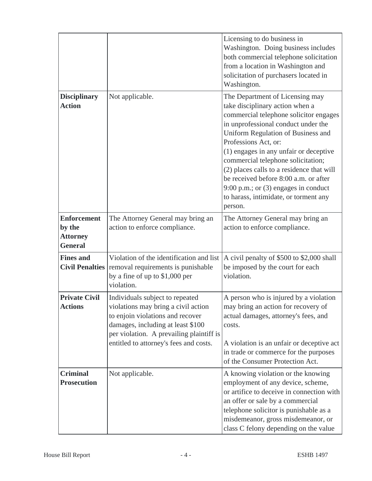|                                                                   |                                                                                                                                                                                                                                       | Licensing to do business in<br>Washington. Doing business includes<br>both commercial telephone solicitation<br>from a location in Washington and<br>solicitation of purchasers located in<br>Washington.                                                                                                                                                                                                                                                                             |
|-------------------------------------------------------------------|---------------------------------------------------------------------------------------------------------------------------------------------------------------------------------------------------------------------------------------|---------------------------------------------------------------------------------------------------------------------------------------------------------------------------------------------------------------------------------------------------------------------------------------------------------------------------------------------------------------------------------------------------------------------------------------------------------------------------------------|
| <b>Disciplinary</b><br><b>Action</b>                              | Not applicable.                                                                                                                                                                                                                       | The Department of Licensing may<br>take disciplinary action when a<br>commercial telephone solicitor engages<br>in unprofessional conduct under the<br>Uniform Regulation of Business and<br>Professions Act, or:<br>(1) engages in any unfair or deceptive<br>commercial telephone solicitation;<br>(2) places calls to a residence that will<br>be received before 8:00 a.m. or after<br>9:00 p.m.; or $(3)$ engages in conduct<br>to harass, intimidate, or torment any<br>person. |
| <b>Enforcement</b><br>by the<br><b>Attorney</b><br><b>General</b> | The Attorney General may bring an<br>action to enforce compliance.                                                                                                                                                                    | The Attorney General may bring an<br>action to enforce compliance.                                                                                                                                                                                                                                                                                                                                                                                                                    |
| <b>Fines and</b><br><b>Civil Penalties</b>                        | Violation of the identification and list<br>removal requirements is punishable<br>by a fine of up to \$1,000 per<br>violation.                                                                                                        | A civil penalty of \$500 to \$2,000 shall<br>be imposed by the court for each<br>violation.                                                                                                                                                                                                                                                                                                                                                                                           |
| <b>Private Civil</b><br><b>Actions</b>                            | Individuals subject to repeated<br>violations may bring a civil action<br>to enjoin violations and recover<br>damages, including at least \$100<br>per violation. A prevailing plaintiff is<br>entitled to attorney's fees and costs. | A person who is injured by a violation<br>may bring an action for recovery of<br>actual damages, attorney's fees, and<br>costs.<br>A violation is an unfair or deceptive act<br>in trade or commerce for the purposes<br>of the Consumer Protection Act.                                                                                                                                                                                                                              |
| <b>Criminal</b><br><b>Prosecution</b>                             | Not applicable.                                                                                                                                                                                                                       | A knowing violation or the knowing<br>employment of any device, scheme,<br>or artifice to deceive in connection with<br>an offer or sale by a commercial<br>telephone solicitor is punishable as a<br>misdemeanor, gross misdemeanor, or<br>class C felony depending on the value                                                                                                                                                                                                     |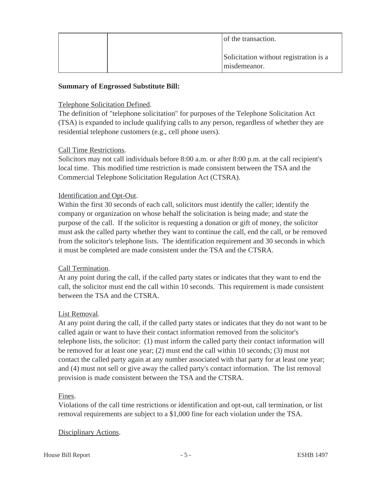|  | of the transaction.                                    |
|--|--------------------------------------------------------|
|  | Solicitation without registration is a<br>misdemeanor. |

## **Summary of Engrossed Substitute Bill:**

#### Telephone Solicitation Defined.

The definition of "telephone solicitation" for purposes of the Telephone Solicitation Act (TSA) is expanded to include qualifying calls to any person, regardless of whether they are residential telephone customers (e.g., cell phone users).

## Call Time Restrictions.

Solicitors may not call individuals before 8:00 a.m. or after 8:00 p.m. at the call recipient's local time. This modified time restriction is made consistent between the TSA and the Commercial Telephone Solicitation Regulation Act (CTSRA).

## Identification and Opt-Out.

Within the first 30 seconds of each call, solicitors must identify the caller; identify the company or organization on whose behalf the solicitation is being made; and state the purpose of the call. If the solicitor is requesting a donation or gift of money, the solicitor must ask the called party whether they want to continue the call, end the call, or be removed from the solicitor's telephone lists. The identification requirement and 30 seconds in which it must be completed are made consistent under the TSA and the CTSRA.

#### Call Termination.

At any point during the call, if the called party states or indicates that they want to end the call, the solicitor must end the call within 10 seconds. This requirement is made consistent between the TSA and the CTSRA.

#### List Removal.

At any point during the call, if the called party states or indicates that they do not want to be called again or want to have their contact information removed from the solicitor's telephone lists, the solicitor: (1) must inform the called party their contact information will be removed for at least one year; (2) must end the call within 10 seconds; (3) must not contact the called party again at any number associated with that party for at least one year; and (4) must not sell or give away the called party's contact information. The list removal provision is made consistent between the TSA and the CTSRA.

#### Fines.

Violations of the call time restrictions or identification and opt-out, call termination, or list removal requirements are subject to a \$1,000 fine for each violation under the TSA.

#### Disciplinary Actions.